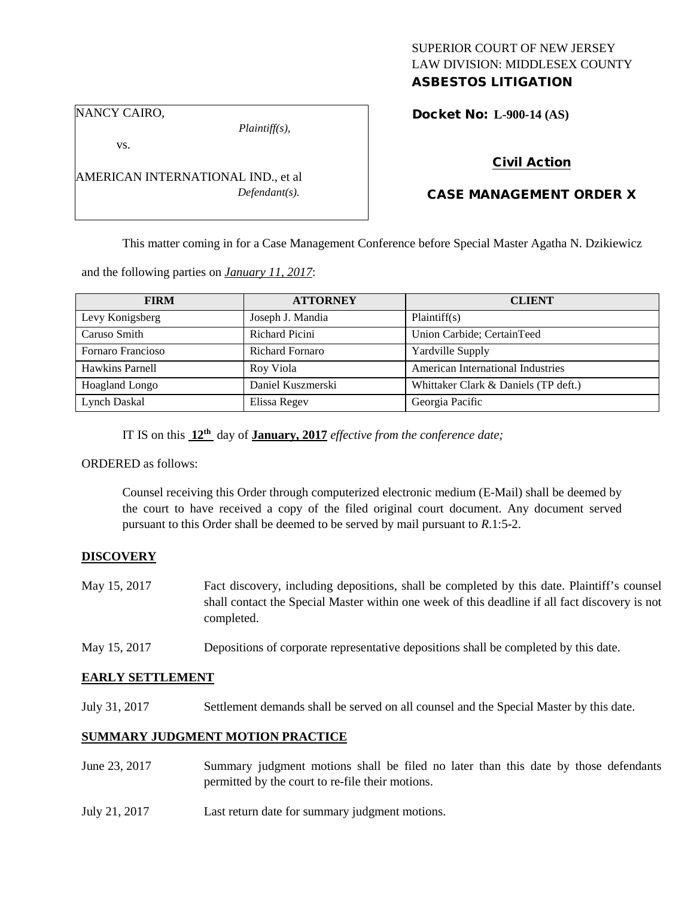# SUPERIOR COURT OF NEW JERSEY LAW DIVISION: MIDDLESEX COUNTY

# ASBESTOS LITIGATION

NANCY CAIRO,

*Plaintiff(s),*

Docket No: **L-900-14 (AS)** 

vs.

AMERICAN INTERNATIONAL IND., et al *Defendant(s).*

### Civil Action

## CASE MANAGEMENT ORDER X

This matter coming in for a Case Management Conference before Special Master Agatha N. Dzikiewicz

and the following parties on *January 11, 2017*:

| <b>FIRM</b>       | <b>ATTORNEY</b>        | <b>CLIENT</b>                        |
|-------------------|------------------------|--------------------------------------|
| Levy Konigsberg   | Joseph J. Mandia       | Plaintiff(s)                         |
| Caruso Smith      | Richard Picini         | Union Carbide; CertainTeed           |
| Fornaro Francioso | <b>Richard Fornaro</b> | <b>Yardville Supply</b>              |
| Hawkins Parnell   | Roy Viola              | American International Industries    |
| Hoagland Longo    | Daniel Kuszmerski      | Whittaker Clark & Daniels (TP deft.) |
| Lynch Daskal      | Elissa Regev           | Georgia Pacific                      |

IT IS on this **12th** day of **January, 2017** *effective from the conference date;*

ORDERED as follows:

Counsel receiving this Order through computerized electronic medium (E-Mail) shall be deemed by the court to have received a copy of the filed original court document. Any document served pursuant to this Order shall be deemed to be served by mail pursuant to *R*.1:5-2.

#### **DISCOVERY**

- May 15, 2017 Fact discovery, including depositions, shall be completed by this date. Plaintiff's counsel shall contact the Special Master within one week of this deadline if all fact discovery is not completed.
- May 15, 2017 Depositions of corporate representative depositions shall be completed by this date.

#### **EARLY SETTLEMENT**

July 31, 2017 Settlement demands shall be served on all counsel and the Special Master by this date.

#### **SUMMARY JUDGMENT MOTION PRACTICE**

- June 23, 2017 Summary judgment motions shall be filed no later than this date by those defendants permitted by the court to re-file their motions.
- July 21, 2017 Last return date for summary judgment motions.